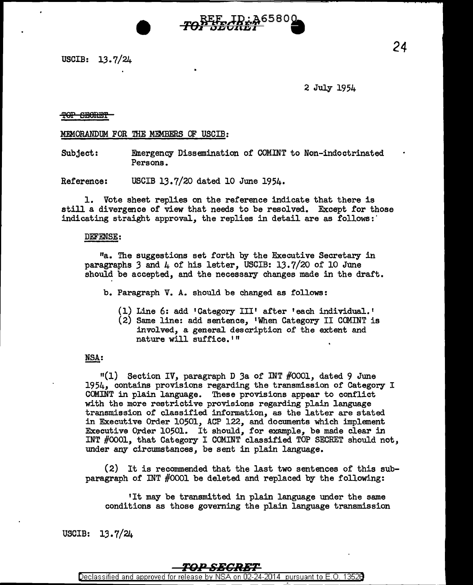

USCIB: 13. 7/24

2 July 1954

### **'f9P SmeRE'f**

### MEMORANDUM FOR THE MEMBERS OF USCIB:

Subject: l!lnergency Dissemination of COMINT to Non-indoctrinated Persons.

Reference: USCIB 13.7/20 dated 10 June 1954.

1. Vote sheet replies on the reference indicate that there is still a divergence of view that needs to be resolved. Except for those indicating straight approval, the replies in detail are as follows:'

#### DEFENSE:

11a. The suggestions set forth by the Executive Secretary in paragraphs  $3$  and  $4$  of his letter, USCIB: 13.7/20 of 10 June should be accepted, and the necessary changes made in the draft.

- b. Paragraph V. A. should be changed as follows:
	- (1) Line 6: add 'Category III' after 'each individual.'
	- (2) Same line: add sentence, 1When Category II COMINT is involved, a general description of the extent and nature will suffice.  $11$

## NSA:

 $11$  Section IV, paragraph D 3a of INT  $#0001$ , dated 9 June 1954, contains provisions regarding the transmission of Category I COMINT in plain language. These provisions appear to conflict with the more restrictive provisions regarding plain language transmission of classified information, as the latter are stated in Executive Order 10501, ACP 122, and documents which implement Executive Order 10501. It should, for example, be made clear in INT #0001, that Category I COMINT classified TOP SECRET should not, under any circumstances, be sent in plain language.

(2) It is recommended that the last two sentences of this subparagraph of INT #0001 be deleted and replaced by the following:

<sup>1</sup> It may be transmitted in plain language under the same conditions as those governing the plain language transmission

USCIB: 13.7/24

# TOP SECRET

Declassified and approved for release by NSA on 02-24-2014 pursuant to E.O. 13526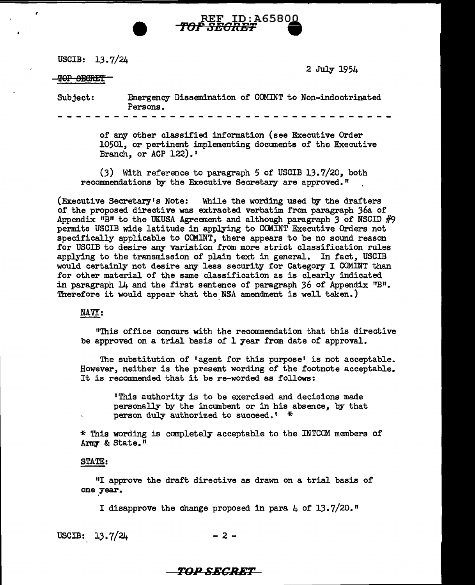

USCIB: 13.7/24

TOP SECRET

I

2 July 1954

| Subject: | Persons. |  | Emergency Dissemination of COMINT to Non-indoctrinated |  |  |  |  |  |  |  |  |
|----------|----------|--|--------------------------------------------------------|--|--|--|--|--|--|--|--|
|          |          |  | -----------------------------------                    |  |  |  |  |  |  |  |  |

of any other classified information (see Executive Order 10501, or pertinent implementing documents of the Executive Branch, or ACP 122).'

(3) With reference to paragraph *5* of USCIB 13.7/20, both recommendations by the Executive Secretary are approved."

(Executive Secretary's Note: While the wording used by the drafters of the proposed directive was extracted verbatim from paragraph 36a of Appendix "B" to the UKUSA Agreement and although paragraph *3* of NSCID #9 permits USCIB wide latitude in appJJring to CCMINT Executive Orders not specifically applicable to COMINT, there appears to be no sound reason for USCIB to desire any variation from more strict classification rules applying to the transmission of plain text in general. In fact, USCIB would certainly not desire any less security for Category I COMINT than for other material of the same classification as is clearly indicated in paragraph  $14$  and the first sentence of paragraph 36 of Appendix  $"B"$ . Therefore it would appear that the NSA amendment is well taken.)

## NAVY:

"This office concurs with the recommendation that this directive be approved on a trial basis of 1 year from date of approval.

The substitution of 'agent for this purpose' is not acceptable. However, neither is the present wording of the footnote acceptable. It is recommended that it be re-worded as follows:

1This authority is to be exercised and decisions made personally by the incumbent or in his absence, by that person duly authorized to succeed.' \*

\* This wording is completely acceptable to the INTCOM members of Army & State."

### STATE:

11I approve the draft directive as drawn on a trial basis of one year.

I disapprove the change proposed in para  $\mu$  of 13.7/20.<sup>n</sup>

USCIB:  $13.7/24$  - 2 -

## **ro.0** *SBCRBT*